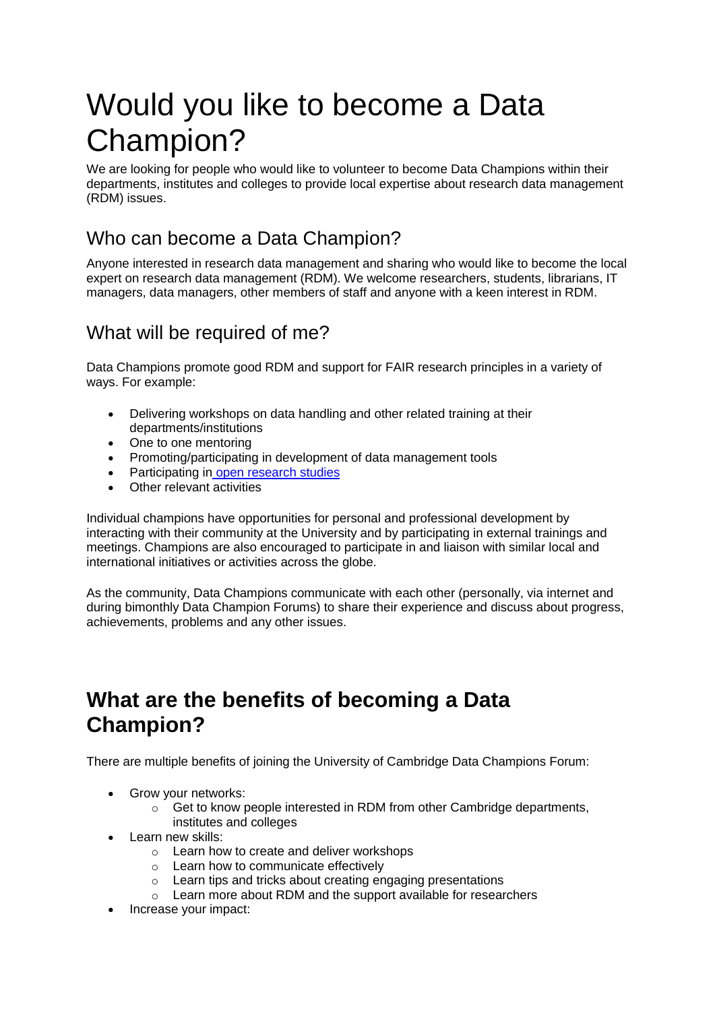# Would you like to become a Data Champion?

We are looking for people who would like to volunteer to become Data Champions within their departments, institutes and colleges to provide local expertise about research data management (RDM) issues.

## Who can become a Data Champion?

Anyone interested in research data management and sharing who would like to become the local expert on research data management (RDM). We welcome researchers, students, librarians, IT managers, data managers, other members of staff and anyone with a keen interest in RDM.

### What will be required of me?

Data Champions promote good RDM and support for FAIR research principles in a variety of ways. For example:

- Delivering workshops on data handling and other related training at their departments/institutions
- One to one mentoring
- Promoting/participating in development of data management tools
- Participating in [open research studies](https://osc.cam.ac.uk/open-research/open-research-pilot-project)
- Other relevant activities

Individual champions have opportunities for personal and professional development by interacting with their community at the University and by participating in external trainings and meetings. Champions are also encouraged to participate in and liaison with similar local and international initiatives or activities across the globe.

As the community, Data Champions communicate with each other (personally, via internet and during bimonthly Data Champion Forums) to share their experience and discuss about progress, achievements, problems and any other issues.

## **What are the benefits of becoming a Data Champion?**

There are multiple benefits of joining the University of Cambridge Data Champions Forum:

- Grow your networks:
	- o Get to know people interested in RDM from other Cambridge departments, institutes and colleges
- Learn new skills:
	- o Learn how to create and deliver workshops
	- o Learn how to communicate effectively
	- o Learn tips and tricks about creating engaging presentations
	- o Learn more about RDM and the support available for researchers
- Increase your impact: